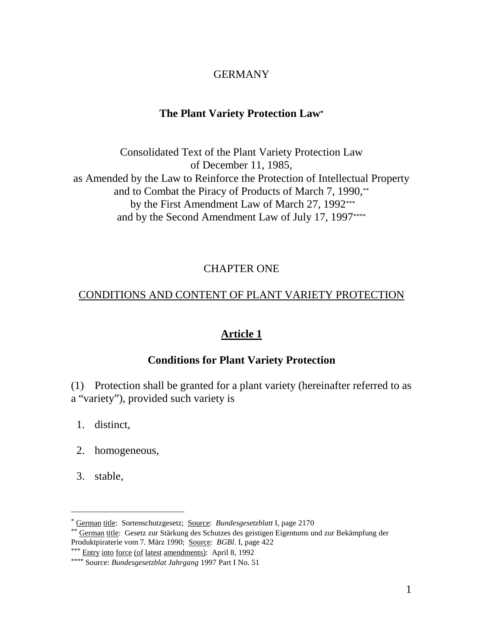## GERMANY

## **The Plant Variety Protection Law \***

Consolidated Text of the Plant Variety Protection Law of December 11, 1985, as Amended by the Law to Reinforce the Protection of Intellectual Property and to Combat the Piracy of Products of March 7, 1990, by the First Amendment Law of March 27, 1992 \*\*\* and by the Second Amendment Law of July 17, 1997 \*\*\*\*

## **CHAPTERONE**

## CONDITIONS AND CONTENT OF PLANT VARIETY PROTECTION

## **Article 1**

## **Conditions for Plant Variety Protection**

(1) Protectionshall be granted for a plant variety (hereinafter referred to as a "variety"), provided such variety is

- 1. distinct,
- 2. homogeneous,
- 3. stable,

<sup>\*</sup> German title: Sortenschutzgesetz; Source: *Bundesgesetzblatt* I, page 2170

<sup>\*\*</sup> German title: Gesetz zur Stärkung des Schutzes des geistigen Eigen tums und zur Bekämpfung der Produktpiraterievom 7. März 1990; Source: *BGBl*. I, page 422

<sup>\*\*\*</sup> Entry into force (of latest amendments): April 8, 1992

<sup>\*\*\*\*\*</sup> Source: *Bundesgesetzblat Jahrgang* 1997 Part INo.51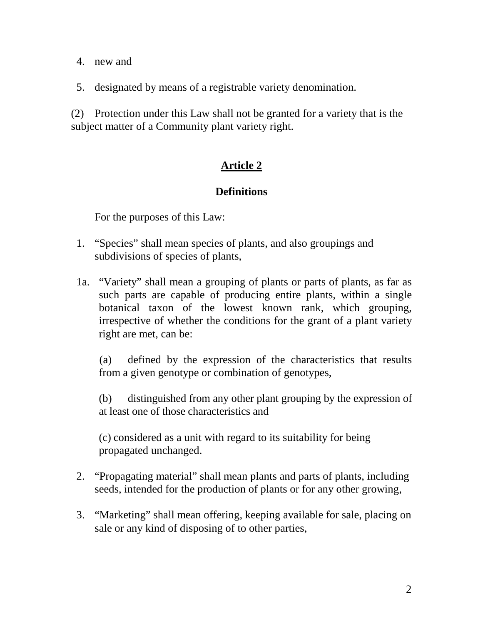- 4. new and
- 5. designated by means of a registrable variety denomination.

(2) Protection under this Law shall not be granted for a variety that is the subject matter of a Co mmunity plant variety right.

## **Article 2**

### **Definitions**

For the purposes of this Law:

- 1. "Species" shall meanspecies of plants, and also groupings and subdivisions of species of plants,
- 1a. "Variety" shall mean a grouping of plants or parts of plants, as far as such parts are capable of produ cing entire plants, within a single botanical taxon of the lowest known rank, which grouping, irrespective of whether the conditions for the grant of a plant variety right are met, can be:

(a) defined by the expression of the characteri stics that results from a given genotype or combination of genotypes,

(b) distinguished from any other plant grouping by the expression of at least one of those charact eristics and

 $(c)$  considered as a unit with regard to its sui tability for being propagatedu nchanged.

- 2. "Propagating material" shall mean plants and parts of plants, including seeds, intended for the production of plants or for any other growing,
- 3. "Marketing" shall mean offering, keeping available for sale, placing on sale or any kind of disposing of to other parties,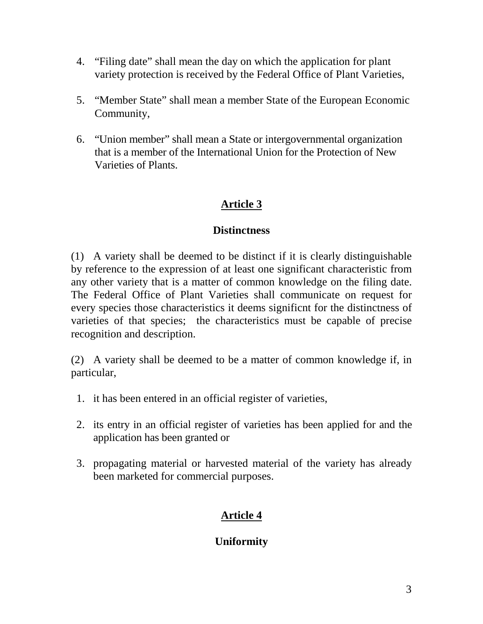- 4. "Filing date" shall mean the day on which the application for plant variety protection is received by the Federal Office of Pl ant Varieties,
- 5. "Member State" shall mean a member State of the European Economic Community,
- 6. "Unionmember" shall mean a State or integral organization represents a member of the results of the results of the results of the results of the results of the results of the results of the results of the results of the that is a member of the Intern ational Union for the Protection of New Varieties of P lants.

## **Distinctness**

(1) A variety shall be deemed to be distinct if it is clearly distinguishable by reference to the expression of at least one significant characteristic from any other v ariety that is a matter of common knowledge on the fil ing date. The Federal Office of Plant Varieties shall communicate on request for every species those characteri stics it deems significnt for the distinctness of varieties of that species; the characteristics must be capable of pr ecise recognition and description.

(2) A variety shall be deemed to be a matter of common knowledge if, in particular,

- 1. it has been entered in an official register of variaties,
- 2. its entry in an official register of varieties has been applied for and the application has been granted or
- 3. propagating material or harvested material of the variety has already been marketed for commercial pu rposes.

# **Article 4**

## **Uniformity**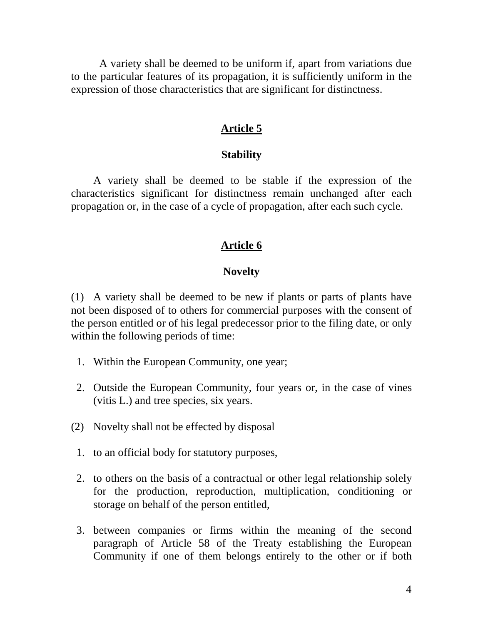A variety shall be deemed to be uniform if, apart from variations due to the particular features o fits prop agation, it is sufficiently uniform in the expression of those characteristics that are significant for di stinctness.

#### Article5

#### **Stability**

A variety shall be deemed to be stable if the expre ssion of the characteristics significant for distinc tness remain unchanged after each propagation or, in the case of a cycle of propagation, after each such cycle.

#### Article6

#### **Novelty**

(1) A variety shall be deemed to be new if plants or parts of plants have not been disposed of to others for commercial pu rposes with the consent of the person ent itled or of his legal predecess or prior to the filing date, or only within the following periods of time:

- 1. Within the European Community, one year;
- 2. Outside the European Community, four years or, in the ca se of vines (vitis L.) and trees pecies, six years.
- (2) Novelty shall not be effected by disposal
- 1. to an official body for statutory pu rposes,
- 2. to others on the basis of a contractual or other legal relationships olely for the production, repro duction, multiplication, conditioning or storage on behalf of the person entitled,
- 3. between companies or firms within the meaning of the second paragraph of Article 58 of the Treaty establishing the European Community if one of them belongs entirely  $t \cdot \cdot$  o the other or if both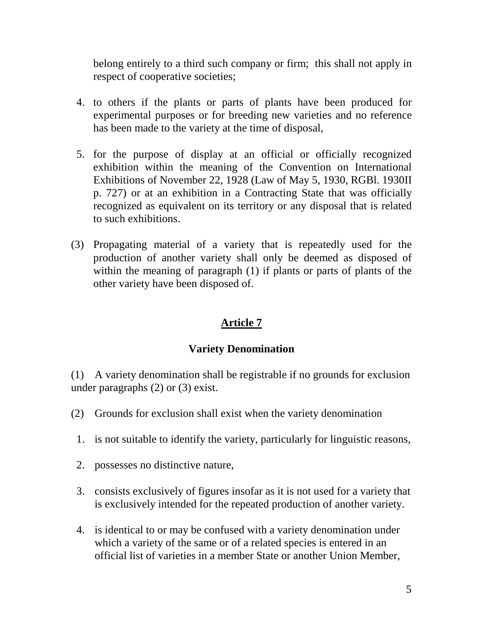belonge ntirely to a third such company or firm; this shall not a pply in respect of cooper ative societies;

- 4. to others if the plants or parts of plants have been produced for experimental purposes or for breeding new varieties a nd no reference has been made to the v ariety at the time of disposal,
- 5. for the purpose of display at an official or officially recognized exhibition within the meaning of the Convention on International Exhibitions of November 22, 1928 (Law of May 5, 1930, RGB 1.1930 II p. 727) or at an exhibition in a Contracting State that was officially recognized as equivalent on its territory or any disposal that is related to such exhibitions
- (3) Propagating material of a variety that is repea tedly used for the production of another variety shall only be deemed as disposed of within the meaning of par agraph (1) if plants or parts of plants of the other variety have been disposed of.

## **Article 7**

### **Variety Denomination**

(1) Avariety denomination shall be registrabl eif no grounds for exclusion under paragraphs  $(2)$  or  $(3)$  exist.

- (2) Groundsforexclusionshallexistwhen the variety denomination
- 1. is not suitable to identify the variety, particularly for linguistic reasons,
- 2. possesses no distinctive nature,
- 3. consists exclusively of figures insofar as it is not used for a variety that is exclusively intended for the repeated pr oduction of another variety.
- 4. is identical toormay be confused with a variety denomination under which avariety of the same me or of a related species is entered in an official list of varieties in a member State or another Union Member,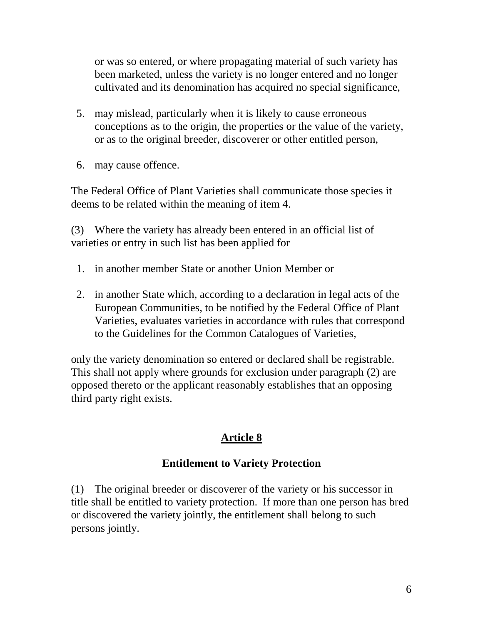or was so entered, or where propagating material of such variety has been marketed, unless the variety is no longerentered and no longer cultivated and its denomination has acquired nospecial significance,

- 5. may mislead, particularly when it is likely to cause errone ous conceptions as to the origin, the properties or the value of the variety, or as to the original breeder, discoverer or ot here ntitled person,
- 6. may cause offence.

The Federal Office of Plant Varieties shall communicate thoses pecies it deemstoberelated within the meaning of item 4.

(3) Where the variety has already been entered in an official list of varieties or en try in such list has been applied for

- 1. in another member State or another Union Member or
- 2. in another State which, according to a declaration in legal acts of the European Communities, to be notified by the Federal Office of Plant Varieties, eval uates varieties in accordance with rules that correspond to the Guidelines for the Common Catalogues of Varieties,

only the variety denomination so entered or declared shall be registrable. This shall not apply where grounds for exclusion under paragraph (2) are opposed thereto or the applicant reasonably establishes that an opposing third party right exists.

## **Article 8**

### **Entitlement to Variety Protection**

(1) The original breeder or discoverer of the variety or his successor in title shall be entitled to variety protection. If more than one person has bred or discovered the variety jointly, the entitlement shall belong to such persons jointly.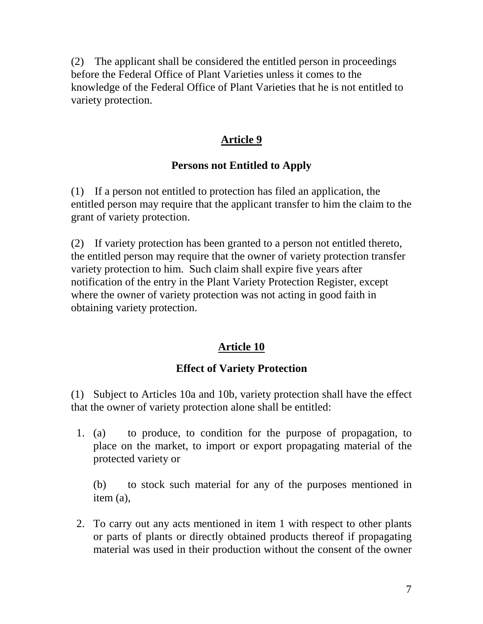(2) The applicant shall be considered the entitled person in proceedings before the Federal Office of Plant Var ieties unless it comes to the knowledge of the Federal Office of Plant Varieties that he is not entitled to variety protection.

### Article9

## **Persons not Entitled to Apply**

(1) If a person not entitled to protection has filed an application, the entitled pe rson may require that the applicant transfer to him the claim to the grant of variety protection.

(2) If variety protection has been granted to a person notential edit hereto, the entitled person may require that the owner of variety protection transfer variety protection to him. Such claims hall expire five years after notification of the entry in the Plant Variety Protection Register, except where the owner of variety protection was not acting in good faith in obtaining variety protection.

## **Article 10**

## **EffectofVarietyProtection**

(1) Subject to Articles 10a and 10b, variety prote ction shall have the effect that the owner of variety pr otection alone shall be entitled:

 1. (a) to produce, to condition for the purpose of propagation, to place on the mar ket, to import or e xport propagating material of the protected variety or

(b) to stock such material for any of the pu rposes mentioned in item (a),

 2. To carry out any acts mentioned in item 1 with respect to other plants or parts of plants or directl y obtained products thereof if propagating material was used in their production without the consent of the owner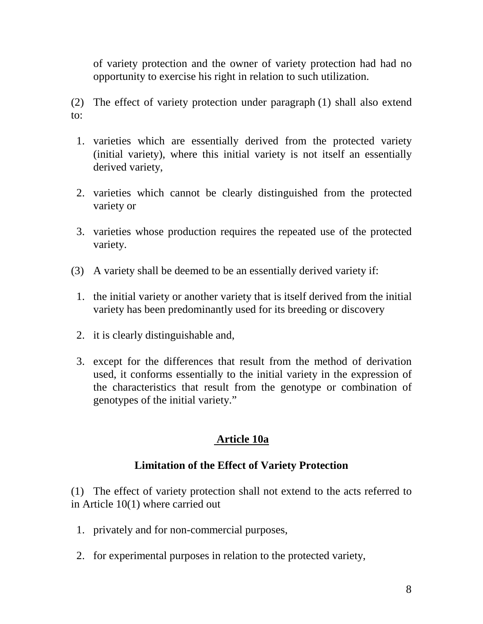of variety protection and the owner of variety protection had had no opportunity to exercise his right in relation to such utilization.

- (2) The effect of variety protection under par agraph (1) shall also extend to:
- 1. varieties which are essentially derived from the protected variety (initial variety), where this initial variety is not itself an essentially derived variety,
- 2. varieties w hich cannot be clearly disti nguished from the protected variety or
- 3. varieties whose production requires the r epeated use of the protected variety.
- (3) Avariety shall be deemed to be an essentially derived variety if:
- 1. the initial variety or anotated variety that is itself derived from the initial variety has been predom inantly used for its breeding or discovery
- 2. it is clearly distinguis hable and,
- 3. except for the differences that result from the method of derivation used, it conforms ess entially to the initial variety in the expression of the characteristics that result from the genotype or combination of genotypes of the initial var iety."

## **Article 10a**

### **Limitation of the Effect of Variety Prote ction**

(1) The effect of variety protection shall not extend to the acts referred to in Article 10(1) where carried out

- 1. privately and for non-commercial pu rposes,
- 2. for experimental purposes in relation to the protected variety,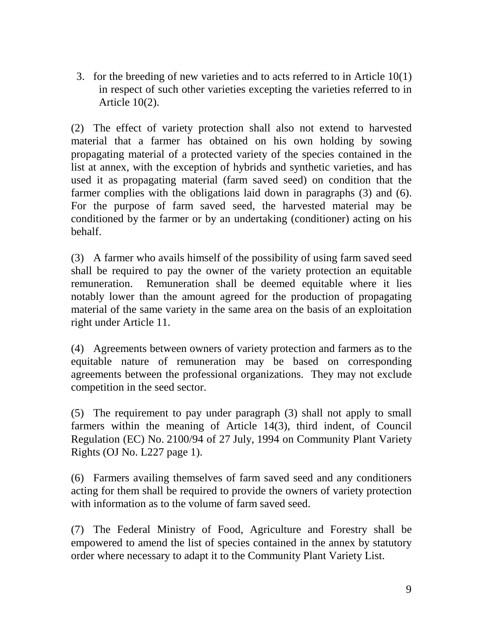3. for the breeding of new varieties and to act s referred to in Article  $10(1)$ in respect of such other vari eties excepting the varieties referred to in Article  $10(2)$ .

(2) The effect of variety protection shall also not extend to harvested material that a farmer has obtained on his own holding by sowing propagating material of a protected variety of the species contained in the list at annex, with the exception of hybrids and synthetic vari eties, and has used it as propagating material (farm saved seed) on condition that the farmer complies with the o bligations l aid down in paragraphs  $(3)$  and  $(6)$ . For the purpose of farm saved seed, the harvested material may be conditioned by the farmer or by an undertaking (conditioner) acting on his behalf.

(3) A farmer who avails himself of the possibility of using farms ave d seed shall be required to pay the owner of the variety protection an equitable remuneration. Remuneration shall be deemed equitable where it lies notably lower than the amount agreed for the pr oduction of propagating material of the same variety in the same area on the basis of an exploitation right under A rticle 11.

(4) Agreements between owners of variety prote ction and farmers as to the equitable nature of remuner ation may be based on corresponding agreements between the professional organizations. They may not exclude competition in the seed sector.

(5) The requirement to pay under paragraph (3) shall not apply to small farmers within the meaning of Article 14(3), third indent, of Council Regulation (EC) No. 2100/94 of 27 July, 1994 on Community Pl ant Variety Rights (OJNo. L227 page 1).

(6) Farmers availing themselves of farm saved seed and any conditioners acting for them shall be required to provide the owners of variety protection with information as to the volume of farms ave dseed.

(7) The F ederal Ministry of Food, Agriculture and Forestry shall be empowered to amend the list of species contained in the annex by statutory orderwherenece ssarytoadaptittothe Community Plant Variety List.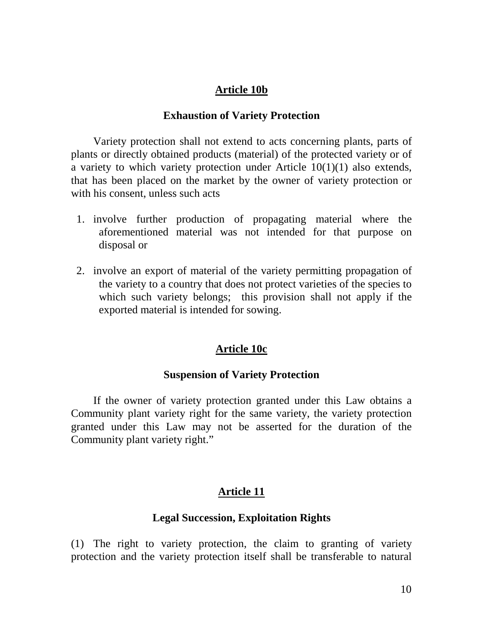## **Article 10b**

#### **Exhaustion of Variety Protection**

Variety protection shall not extend to acts concer ning plants, parts of plants or directly obtained products (material) of the protected variety or of a variety to which variety protection under Article 10(1)(1) also extends, that has been placed on the mar ket by the owner of variaty protection or with his consent, unless such acts

- 1. involve further production of propagating m aterial where the aforementioned material was not i ntended for that purpose on disposalor
- 2. involve an export of material of the variety permitting propagation of the variety to a country that does not protect varieties of the species to which such variety belongs; this provision shall not apply if the exported material is intended for sowing.

### **Article 10c**

### **SuspensionofVarie tyProtection**

If the owner of variety protection granted under this Law obtains a Community plant variety right for the same variety, the variety protection granted under this Law may not be asserted for the duration of the Community plant variety right. "

## **Article 11**

## **Legal Succession, Exploitation Rights**

(1) The right to variety protection, the claim to granting of variety protection and the variety protection itself shall be transferable to natural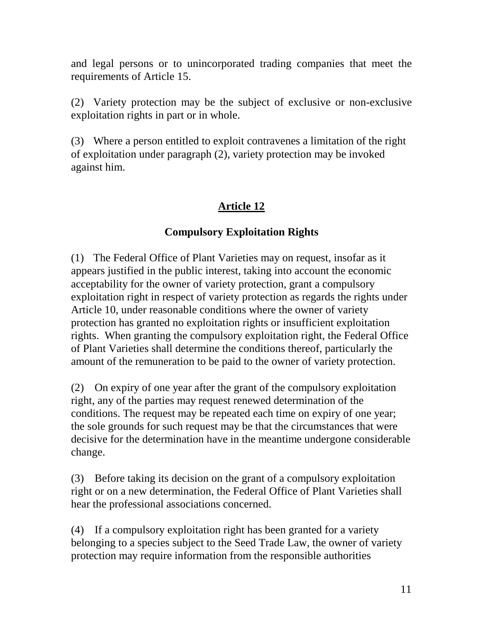and legal persons or to unincorporated trading compa nies that meet the requirements of Article 15.

(2) Variety protection may be the subject of excl usive or non -exclusive exploitation rights in part or in whole.

(3) Where a person entitled to exploit contravenes a limitation of the right of exploitation u nder paragraph (2), variety protection may be invoked againsthim.

## **Article 12**

## **Compulsory Exploitation Rights**

(1) The Federal Office of Plant Varieties may on request, insofar as it appears justified in the public interest, taking into account the econo mic acceptability for the owner of variety protection, grant a compulsory exploitation right in respect of variety protection as regards the rights under Article 10, under reasonable conditions where the owner of variety protection has granted no exploitat ion rights or insufficient exploitation rights. When granting the compulsory exploitation right, the Federal Office of Plant Varieties shall determine the conditions thereof, particularly the amount of the remuneration to be paid to the owner of variety p rotection.

(2) Onexpiry of one year after the grant of the compulsory exploitation right, any of the parties may request renewed determination of the conditions. The request may be repeated each time onexpiry of one year; the sole grounds for such requ est may be that the circumstances that were decisive for the determination have in the meantime undergone considerable change.

(3) Beforetaking its decision on the grant of a compulsory exploitation right or on a new determination, the Federal Office of Plant Varieties shall heartheprofessional associations concerned.

(4) If a compulsory exploitation right has been granted for a variety belonging to aspecies subject to the Seed Trade Law, the owner of variety protection may require information from the eresponsible authorities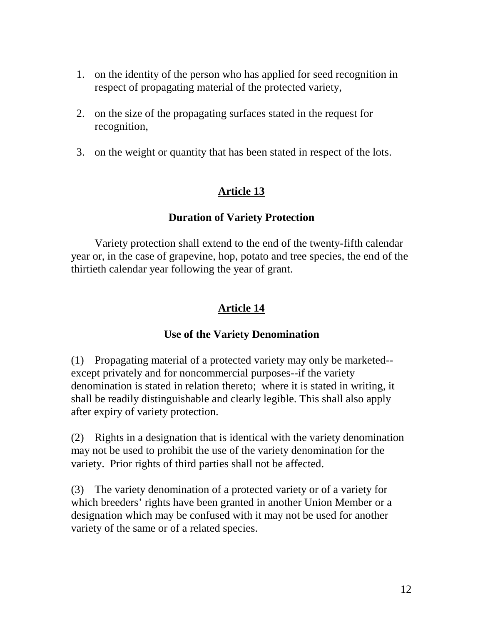- 1. on the identity of the person who has applied for seed recognition in respect of propagating material of the protected variety,
- 2. on the size of the propagating surfaces stated in the request for recognition,
- 3. on the weight or quantity that has been stated in respect of the lots.

## **Duration of Variety Protection**

Variety protections hall extend to the end of the twenty -fifth calendar year or, in the case of grapevine, hop, potato and trees pecies, the en dof the thirtieth calendary earfollowing the year of grant.

## **Article 14**

## **Use of the Variety Denomination**

(1) Propagating material of a protected variety may only be marketed except privately and for noncommercial purposes --if the variety denomination is stated in relation thereto; where it is stated in writing, it shall be readily distinguishable and clearly legible. This shall also apply after expiry of variety protection.

(2) Rights in a designation that is identical with the variety denomination may not be used to prohibit the use of the variety denomination for the variety. Priorrights of third parties shall not be affected.

(3) The variety denomination of a protected variety or of a variety for which breeders' rights have been granted in anoth er Union Member or a designation which may be confused with it may not be used for another variety of the same or of a related species.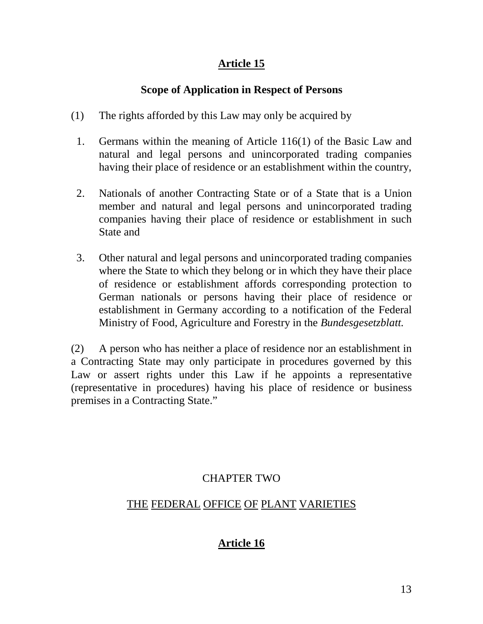## **ScopeofApplication in Respect of Persons**

- (1) The rights afforded by this Law may only be acquired by
- 1. Germans within the meaning of Article 116(1) of the Basic Law and natural and legal persons and unincorporated trading companies having their place of residence or an esta blishment within the country,
- 2. Nationals of another Contracting State or of a State that is a Union member and natural and legal persons and unincorporated trading companies having their place of residence or establishment in such **State and**
- 3. Othernatural and legal persons and uni neorporated trading companies where the State to which they belong or in which they have their place of residence or establishment affords corresponding protection to German nationals or persons having their place of res idence or establishment in Germany according to a notif ication of the Federal Ministry of Food, Agriculture and Forestry in the *Bundesgesetzblatt.*

(2) A person who has neither a place of residence nor an establishment in a Contracting State may only participate in procedures governed by this Law or assert rights under this Law if he a ppoints a representative (representative in procedures) having his place of res idence or business premisesina Contracting State."

## **CHAPTER TWO**

## THE FEDERAL OFFICE OF PLANT VARIETIES

# **Article 16**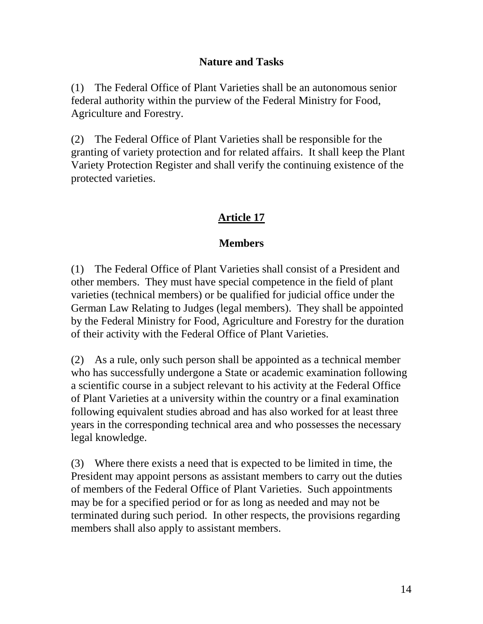### **Nature and Tasks**

(1) The Federal Office of Plant Vari eties shall be an autonomous senior federal authority within the purview of the Federal Ministry for Food, Agriculture and Forestry.

(2) The Federal Office of Plant Varieties shall be responsible for the granting of variety protection and forrelated affa irs. It shall keep the Plant Variety Protection Register and shall verify the continuing existence of the protected varieties.

## **Article 17**

### **Members**

(1) The Federal Office of Plant Varieties shall consist of a President and othermembers. They must have special competence in the field of plant varieties (technical members) or be qualified for judicial office under the German Law Relating to Judges (legal members). The yshall be appointed by the Federal Ministry for Food, Agriculture and Forestry for the duration of their activity with the Federal Office of Plant Varieties.

(2) As a rule, only such personshall be appointed as a technical member who has successfully undergone a State or academic examination following ascientific course in a subject rele vant to his activity at the Federal Office of Plant Varieties at a university within the country or a final examination following equivalent studies abroad and has also worked for at least three years in the corresponding technical area and who possesses the necessary legalknowledge.

(3) Where there exists a need that is expected to be limited in time, the President may appoint persons as assistant members to carry out the duties of members of the Federal Office of Plant Varieties. Such appointments may befora specified period or formal ongas needed and may not be terminated during such period. In other respects, the provisions regarding members shall also apply to assistant members.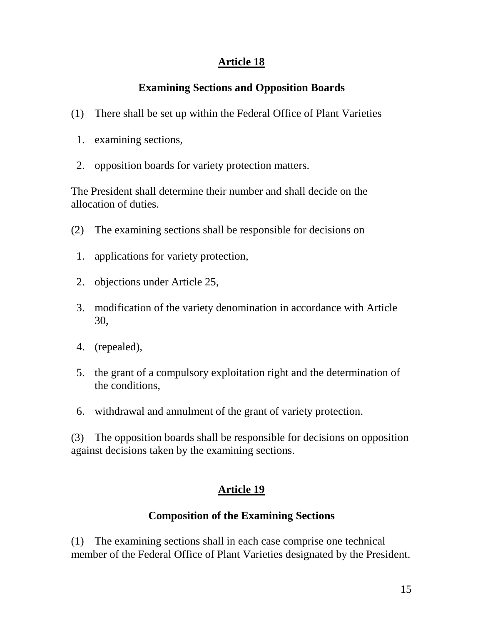# **Examining Sections and Opposition Boards**

- (1) Theres hall be setup within the Federal Office of Plant Varieties
- 1. examining sections,
- 2. opposition boards for variety protection matters.

The President shall determine their number and shall decide on the allocation of duties.

- (2) The examining sections shall be responsible for decisions on
- 1. applications for variety protection,
- 2. objections under Article 25,
- 3. modification of the variety denomination in accordance with Article 30,
- 4. (repealed),
- 5. the grant of a compulsory exploita tion right and the determination of the conditions,
- 6. withdrawal and annulment of the grant of variety protection.

(3) The opposition boards shall be responsible for decisions on opposition against decisions taken by the examining sections.

## **Article 19**

## **Composition of the Examining Sections**

(1) The examining sections shall ineach case comprise one technical member of the Federal Office of Plant Varieties designated by the President.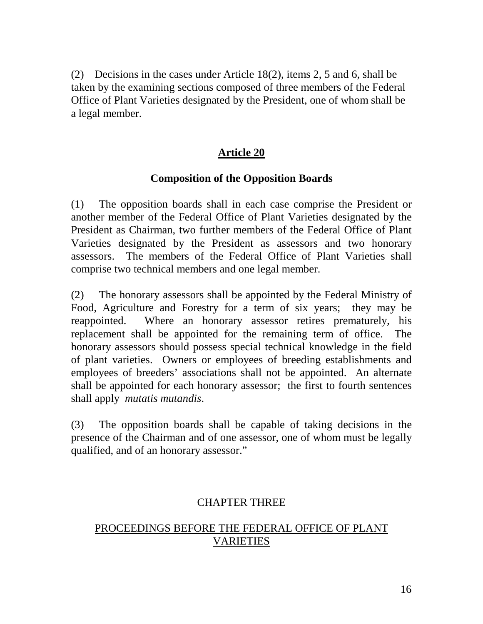(2) Decisions in the cases under Article  $18(2)$ , items  $2.5$  and 6, shall be taken by the examining sections composed of three members of the Federal Office of Plant Varieties designated by the President, one of whom shall be alegalmember.

#### **Article 20**

#### **Composition of the Opposition Boards**

(1) The opposition boards shal l in each case co mprise the President or another member of the Federal Office of Plant Varieties designated by the President as Chairman, two further members of the Federal Office of Plant Varieties designated by the President as assessors and two honorary assessors. The members of the Federal Office of Plant Varieties shall comprise two technical members and one legal member.

(2) The honorary assessors shall be appointed by the Federal Ministry of Food, Agriculture and Forestry for a term of six years; they may be reappointed. Where an honorary assessor retires prematurely, his replacement shall be appointed for the remaining term of office. The honorary assessors should possess special technical knowledge in the field of plant varieties. Owners or e mployees of breeding establishments and employees of breeders' associations shall not be appointed. An alte rnate shall be appointed for each honorary assessor; the first to fourth sentences shall apply *mutatis mutandis*.

(3) The opposition boards shall b e capable of ta king decisions in the presence of the Chairman and of one assessor, one of whom must be legally qualified, and of an honorary assess or."

### **CHAPTER THREE**

### PROCEEDINGSBEFORETHEFEDERALOFFICEOFPLANT VARIETIES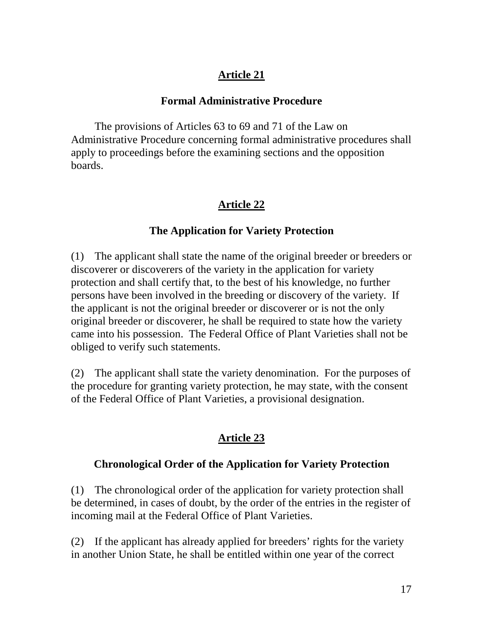## **Formal Administ rative Procedure**

The provisions of Articles 63 to 69 and 71 of the Law on Administrative Procedure concerning formal administrative procedures shall apply to proceedings before the examining sections and the opposition boards.

## **Article 22**

## **The Application for Variety Protection**

(1) The applicant shall state the name of the original breeder or breeders or discoverer or discoverers of the variety in the application for variety protection and shall certify that, to the best of his knowledge, no further persons have been involved in the breeding or discovery of the variety. If the applicant is not the original breeder or discoverer or is not the only original breeder or discoverer, he shall be required to state how the variety came into his possession. The Federal Office of Plant Varieties shall not be obliged to verify such statements.

(2) The applicant shall state the variety denomination. For the purposes of the procedure for granting variety protection, he may state, with the consent of the Federal Of fice of Plant Varieties, a provisional designation.

# **Article 23**

## **Chronological Order of the Application for Variety Protection**

(1) The chronological order of the application for variety protection shall be determined, in cases of doubt, by the order of the entries in the register of incoming mail at the Federal Office of Plant Varieties.

(2) If the applicant has already applied for breeders' rights for the variety in another Union State, he shall beentitled within one year of the correct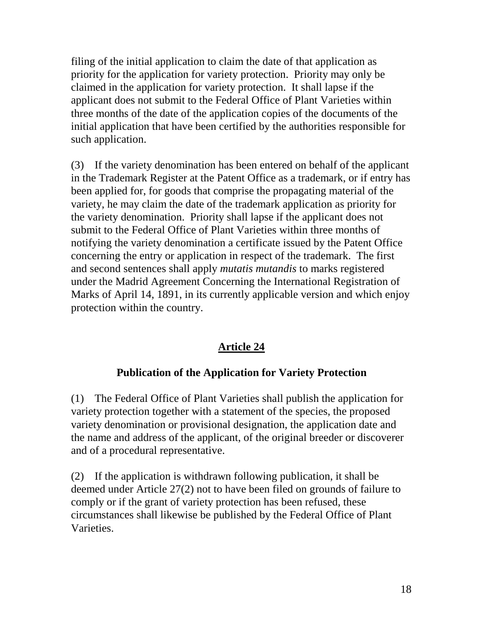filing of the initial application to claim the date of that applications is priority for the application for variety protection. Priority may only be claimed in the application for variety protection. It shall lapse if the applicant does not submitt othe Federal Office of Plant Varieties within three months of the date of the application copies of the documents of the initial application that have been certified by the authorities responsible for suchapplication.

(3) If the variety denomination has been entered on beh alf of the applicant in the Trademark Register at the Patent Office as a trademark, or if entry has been applied for, for goods that comprise the propagating material of the variety, he may claim the date of the trademark application as priority for the variety denomination. Priority shall lapse if the applicant does not submittothe Federal Office of Plant Varieties with in three months of notifying the variety denomination acertificate issued by the Patent Office concerning the entry or application in r espect of the trademark. The first and second sentences shall apply *mutatis mutandis* to marks registered under the Madrid Agreement Concerning the International Registration of Marks of April 14, 1891, in its currently applicable version and which enjoy protection within the country.

## **Article 24**

### **Publication of the Application for Variety Protection**

(1) The Federal Office of Plant Varieties shall publish the application for variety protection to gether with a statement of the species, the proposed variety denomination or provisional designation, the application date and the name and address of the applicant, of the original breeder or discoverer and of a procedural representative.

(2) If the application is withdrawn following publication, it shall be deemed under Article 27(2) not to have been filed on grounds of failure to comply or if the grant of variety protection has been refused, these circumstances shall likewise be published by the Federal Office of Plant Varieties.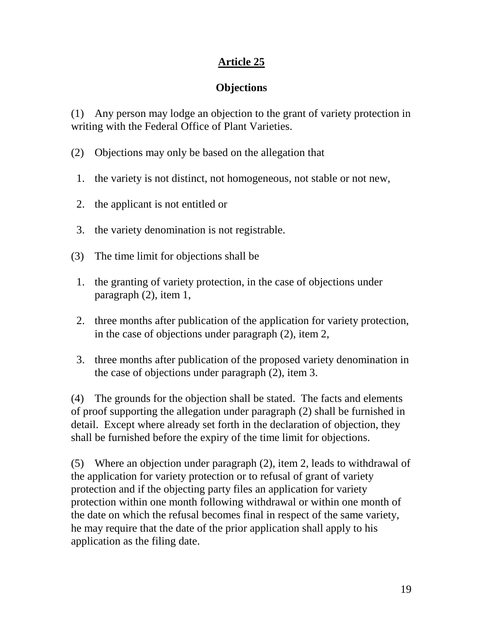# **Objections**

(1) Any person may lodge an objection to the grant of variety protection in writing with the Federal Office of Plant Varieties.

- (2) Objections may only be based on the allegation that
- 1. the variety is not distinct, not homogeneous, not stable or not new,
- 2. the applicant is not entitled or
- 3. the variety denomination is not registrable.
- (3) The time limit for objections shall be
- 1. the granting of variety protection, in the case of objections under paragraph  $(2)$ , item 1,
- 2. three months after pu blication of the application for variety protection, in the case of objections under paragraph  $(2)$ , item 2,
- 3. three months after publication of the proposed variety denomination in the case of objections under paragraph  $(2)$ , item 3.

(4) The grounds for the objection shall be stated. The facts and elements of proof supporting the allegation under paragraph (2) shall be furnished in detail. Except where already set for thin the declaration of objection, they shall be furnished before the expiry of the time limit for objections.

 $(5)$  Where an objection under paragraph  $(2)$ , item 2, leads to withdrawal of the application for variety protection or torefusal of grant of variety protection and if the objecting party files an application for variety protection within one month following withdrawal or within one month of the date on which there fusal becomes final in respect of the same variety, he may require that the date of the prior applicationshall apply to his application as the filing date.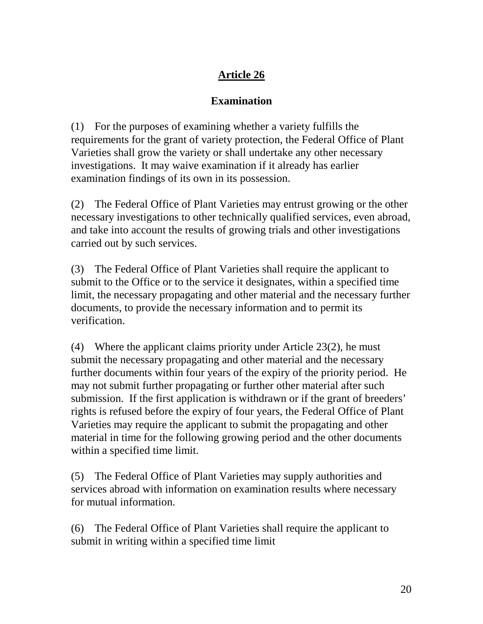## **Examination**

 $(1)$  Forthe purposes of examining whether a variety fulfills the requirements for the grant of variety protection, the Federal Office of Plant Varieties shall grow the variety or shall under take any other necessary investigations. It may wa ive examination if it already has earlier examination findings of its own in its possession.

(2) The Federal Office of Plant Varieties may entrust growing orther other necessary investigations to other technically qualified services, even abroad, and take into account the results of growing trials and other investigations carried outby such services.

(3) The Federal Office of Plant Varieties shall require the applicant to submitto the Office or to the service it designates, within a specified time limit, the necessary propagating and other material and the necessary further documents, to provide the necessary information and to permit its verification.

(4) Where the applicant claims priority under Article  $23(2)$ , he must submit the necessary propagating and other material and the necessary furtherdocuments within four years of the expiry of the priority period. He may not submit further propagating or further other material after such submission. If the first application is withdrawn or if the grant of breeders' rights is refused before the expiry of four years, the Federal Office of Plant Varieties may require the applicant to submit the propagating and other material intime for the following growing period and the other documents within a specified time limit.

(5) The Federal Office of Plant Varieties may supply authorities and services abroad with information on examination results where necessary formutual information.

(6) The Federal Office of Plant Varieties shall require the applicant to submitin writing within a specified time limit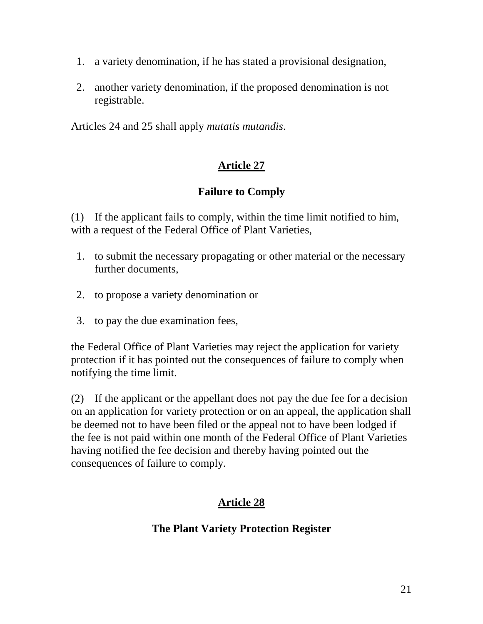- 1. avariety denomination, if he has stated aprovisional designation,
- 2. another variety denomination, if the proposed denomination is not registrable.

Articles 24 and 25 shall apply *mutatis mutandis* .

### **Article 27**

### **Failure to Comply**

(1) If the applicant fails to comply, within the time limit notified to him, with a request of the Federal Office of Plant Varieties,

- 1. to submit the necessary propagating or other material or the necessary furtherdocument s,
- 2. to propose a variety denomination or
- 3. to pay the due examination fees,

the Federal Office of Plant Varieties may reject the application for variety protection if it has pointed out the consequences of failure to comply when notifying the time elimit.

(2) If the applicant or the appellant does not pay the due fee for a decision on an application for variety protection or on an appeal, the application shall be deemed not to have been filed or the appeal not to have been lodged if the fee is not paid within one month of the Federal Office of Plant Varieties having notified the feedecision and thereby having pointed out the consequences of failure to comply.

## **Article 28**

### **The Plant Variety Protection Register**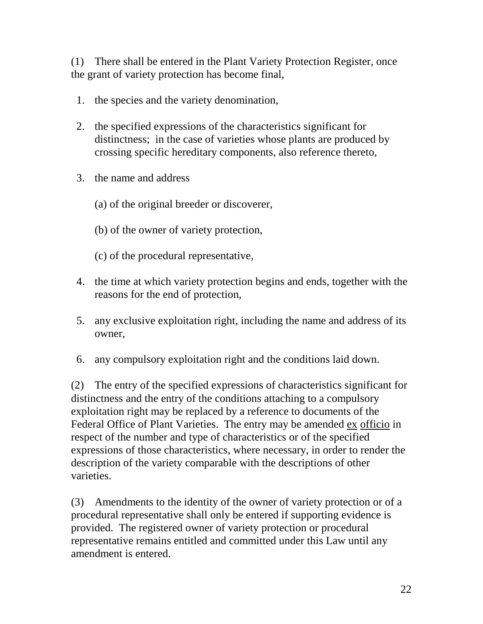(1) There shall be enterred in the Pl ant Variety Protection Register, once the grant of variety protection has become final,

- 1. the species and the variety denomination,
- 2. the specified expressions of the characteristics significant for distinctness; in the case of varieties whose pla nts are produced by crossing specific hereditary components, also reference thereto,
- 3. the name and address
	- (a) of the original breeder or discoverer,
	- (b) of the owner of variety protection,
	- (c) of the procedural representative,
- 4. the time at which variety protection begins and ends, to gether with the reasons for the end of protection,
- 5. any exclusive exploitation right, including the name and address of its owner,
- 6. any compulsory exploitation right and the conditions laid down.

(2) The entry of the specified expressions of characteristics significant for distinctness and the entry of the conditions attaching to a compulsory exploitation right may be replaced by a reference to documents of the Federal Office of Plant Varieties. The e ntry may be amended ex officio in respect of the number and type of characteristics or of the specified expressions of those characteristics, where necessary, in order to render the description of the variety comparable with the descriptions of other varieties.

(3) Amendments to the identity of the owner of variety protection or of a procedural representatives hall only be entered if supporting evidence is provided. The registered owner of variety protection or procedural representative remains entitled a nd committed under this Law until any amendmentisentered.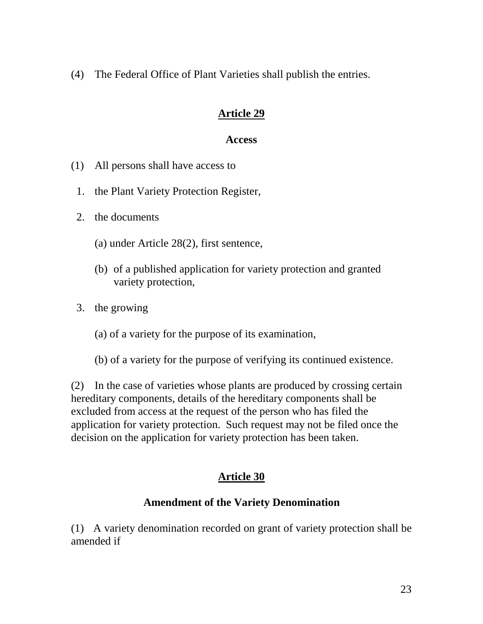(4) The Federal Office of Plant Varieties shall publish the entries.

### **Article 29**

#### **Access**

- (1) All persons shall have access to
- 1. the Plant Variety Protection Register,
- 2. the documents
	- (a) under Article 28(2), first sentence,
	- (b) of a published application for variety protection and granted variety protection,
- 3. the growing
	- (a) of a variety for the purpose of its examination,
	- (b) of a variety for the purpose of verifying its community intimate values of the values of the values of the values of the values of the values of the values of the values of the values of the values of the values of the

(2) In the case of varieties whose plants are produced by crossing certain hereditary components, details of the hereditary components shall be excluded from accessat the request of the person who has filed the application for variety protection. Such request may not be filed once the decision on the application for variety protection has been taken.

## **Article 30**

### **Amendment of the Variety Denomination**

(1) A variety denomination recorded on grant of variety protection shall be amended if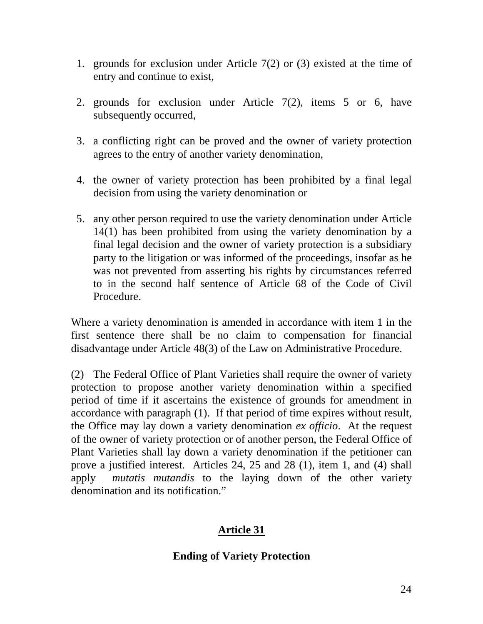- 1. grounds for exclusion under Article  $7(2)$  or  $(3)$  e xisted at the time of entry and continue to exist,
- 2. grounds for exclusion under Article 7(2), items 5 or 6, have subsequently occurred,
- 3. a conflicting right can be proved and the owner of variety protection agrees to the entry of another variety denom ination,
- 4. the owner of variety protection has been prohibited by a final legal decision from using the variety denomination or
- 5. any other person required to use the variety denominati on under Article 14(1) has been prohibited from using the variety denomination by a final legal d ecision and the owner of variety protection is a subsidiary party to the litigation or was informed of the proceedings, insofar as he was not prevented from as serting his rights by circumstances referred to in the second half sentence of Article 68 of the Code of Civil Procedure.

Where a variety denomination is amended in acco rdance with item 1 in the first sentence there shall be no claim to compensation for f inancial disadvantage under Article 48(3) of the Law on Admi nistrative Procedure.

(2) The Federal Office of Plant Varieties shall r equire the owner of variety protection to propose another variety denomination within a specified period of time if it ascer tains the existence of grounds for amendment in accordance with paragraph (1). If that period of time expires without result, the Office may lay down a variety denomination *ex officio* . At the request of the owner of variety protection or of another perso n, the Federal O ffice of Plant Varieties shall lay down a variety denom ination if the petitioner can prove a justified interest. Articles 24, 25 and 28 (1), item 1, and (4) shall apply *mutatis mutandis* to the laying down of the other variety denomination and its notification."

# **Article 31**

## **Ending of Variety Protection**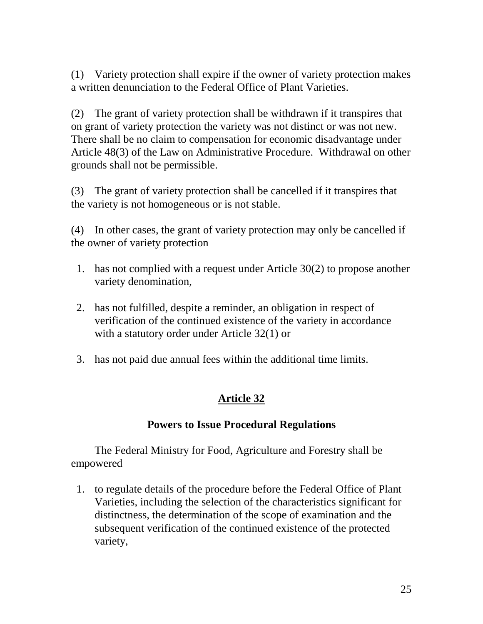(1) Variety protections hall expire if the owner of variety protection makes awritten denunciation to the Federal Office of Plant Varieties.

(2) The grant of variety protections hall be withdrawn if it transpires that on grant of variety protection the variety was not distinct or was not new. There shall be no claim to compensation for economic disadvantage under Article 48(3) of the Law on Administrative Procedure. Withdrawal on other grounds shall not be permissible.

(3) The grant of variety protections hall be cancelled if it transpires that the variety is not homogeneous or is not stable.

(4) In other cases, the grant of variety protection may only be cancelled if the owner of variantly protection

- 1. has not complied with a request under Article 30(2) to propose another variety denomination,
- 2. has not fulfilled, despited are minder, an obligation in respect of verification of the continued existence of the variety in accordance with a statutory order under Article  $32(1)$  or
- 3. has not paid due annual fees within the additional time limits.

## **Article 32**

### **Powers to Issue Procedural Regulations**

The Federal Ministry for Food, Agriculture and Forestry shall be empowered

1. tor egulated etails of the procedure before the Federal Office of Plant Varieties, including the selection of the characteristics significant for distinctness, the determination of the scope of examination and the subsequent verification of the continued exist ence of the protected variety,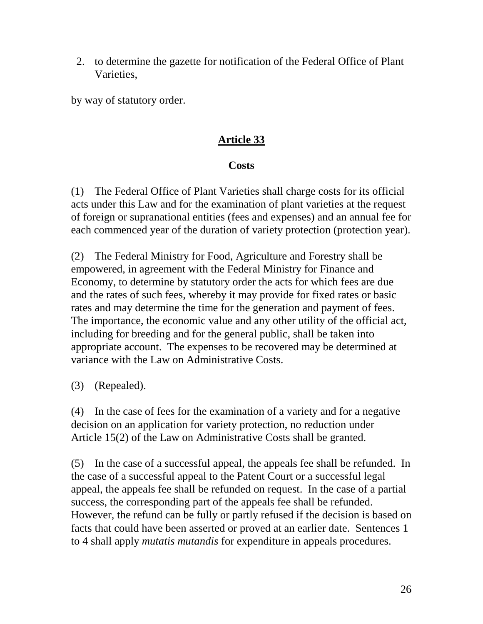2. to determine the gazette for notification of the Federal Office of Plant Varieties,

by way of statutory order.

## **Article 33**

## **Costs**

(1) The Federal Office of Plant Varieties shall charge costs for its official acts und erthis Law and for the examination of plant varieties at the request offoreignor supranational entities (fees and expenses) and an annual fee for each commenced year of the duration of variety protection (protection year).

(2) The Federal Ministry for Food, Agriculture and Forestry shall be empowered, in agreement with the Federal Ministry for Finance and Economy, to determine by statutory order the acts for which fees are due and the rates of such fees, whereby it may provide for fixed rates or basic rates and may determine the time for the generation and payment of fees. The importance, the economic value and any other utility of the official act, including for breeding and for the general public, shall be taken into appropriate account. The expenses to be recovered may be determined at variance with the Law on Administrative Costs.

(3) (Repealed).

(4) In the case of fees for the examination of a variety and for a negative decision on an application for variety protection, no reduction under Article 15(2) of the Law on Administrative Costs shall be granted.

 $(5)$  In the case of a success full appeal, the appeals feed shall be refunded. In the case of a successful appeal to the Patent Court or a successful legal appeal, the appeals feeshall be refunded on request. In the case of a partial success, the corresponding part of the appeals feeshall be refunded. However, therefund can be fully or partly refused if the decision is based on facts that could have been asserted or proved at an earlier date. S entences 1 to 4 shall apply *mutatis mutandis* for expenditure in appeals procedures.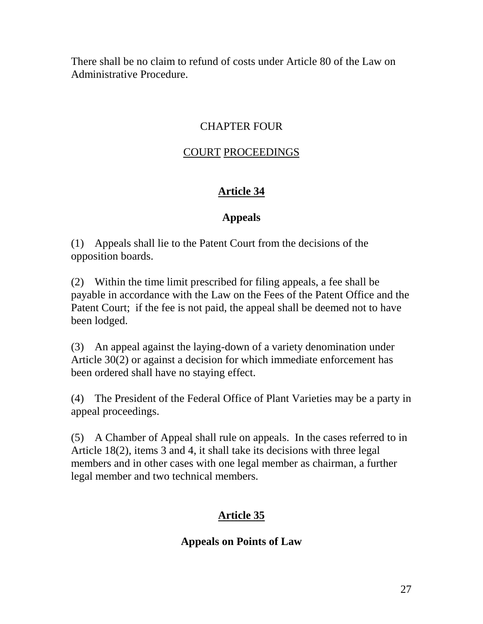There shall be no claim to refund of costs under Article and a 80 of the Law on Administrative Procedure.

### **CHAPTERFOUR**

### COURT PROCEEDINGS

## **Article 34**

## **Appeals**

(1) Appealss hall lietothe Patent Court from the decisions of the opposition boards.

 $(2)$  Within the time limit prescribed for filing appeals, a fee shall be payable in accordance with the Law on the Fees of the Patent Office and the Patent Court; if the fee is not paid, the appeals hall be deemed not to have beenlodged.

(3) An appeal against the laying -down of a variety denomination under Article 30(2) or against a decision for which immediate enforcement has been ordered shall have no staying effect.

(4) The Pre sident of the Federal Office of Plant Varieties may be a party in appeal proceedings.

(5) A Chamber of Appealshall rule on appeals. In the cases referred to in Article 18(2), items 3 and 4, it shall take its decisions with three legal members and in oth er cases with one legal member as chairman, a further legal member and two technical members.

# **Article 35**

## **Appeals on Points of Law**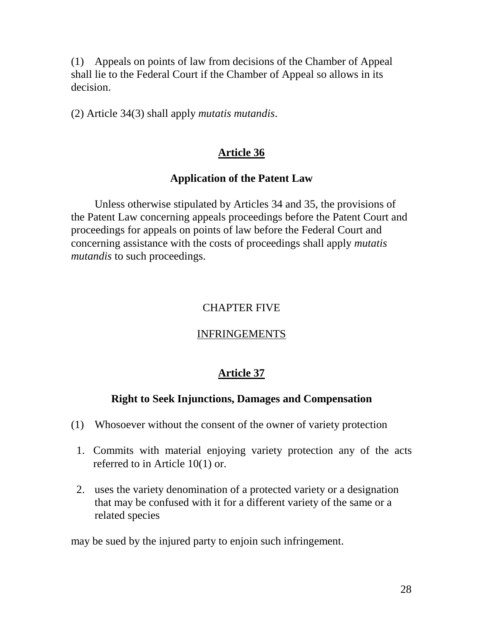(1) Appeals on points of law from decisions of the Chamber of Appeal shall lie to the Federal Court if the Chamber of Appe also allows in its decision.

(2) Article 34(3) shall apply *mutatis mutandis*.

### **Article 36**

#### **Application of the Patent Law**

Unless otherwise stipulated by Articles 34 and 35, the provisions of the Patent Law concerning appeals proceedings before the Paten t Court and proceedings for appeals on points of law before the Federal Court and concerning assistance with the costs of proceedings shall apply *mutatis mutandistosuchproceedings.* 

#### CHAPTER FIVE

#### INFRINGEMENTS

#### **Article 37**

### **Right to Seek Injunctions, Damages and Compensation**

- (1) Whosoever without the consent of the owner of variety protection
- 1. Commits with material enjoying variety pr otection any of the acts referred to in Article 10(1) or.
- 2. uses the variety denomination of a protected varie ty or a designation that may be confused with it for a different variety of the same or a related species

may be sued by the injured party to enjoin such infringement.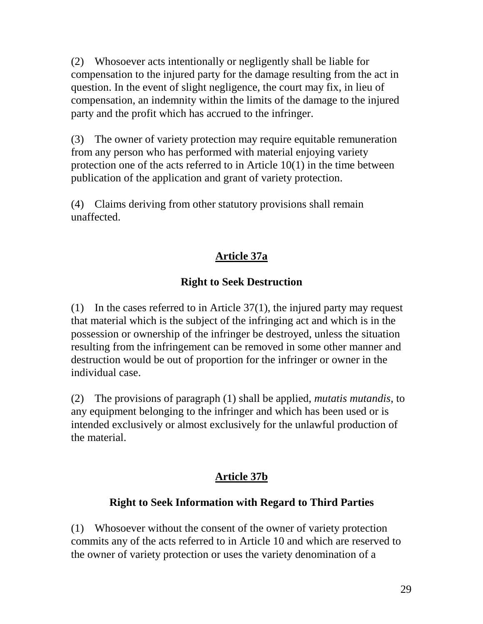(2) Whosoever acts intentionally or negligently shall be liable for compensation to the einjured party for the damage resulting from the act in question. In the event of slight negligence, the court may fix, in lieu of compensation, an indemnity within the limits of the damage to the injured party and the profit which has accrued to the infractional inger.

(3) The owner of variety protection may r equire equitable remuneration from any person who has performed with material enjoying variety protection one of the acts referred to in Article 10(1) in the time between publication of the application and g rant of variety pr otection.

(4) Claims deriving from other statutory provisions shall remain unaffected.

## **Article 37a**

## **Right to Seek Destruction**

(1) In the cases referred to in Article  $37(1)$ , the injured party may request that material which is the subject of the infringing act and which is in the possession or ownership of the infringer be destroyed, unless the situation resulting from the infringement can be removed in some other manner and destruction would be out of proportion for the infringer or ow nerin the individual case.

(2) The provisions of paragraph (1) shall be applied, *mutatis mutandis*, to any equipment belonging to the infringer and which has been used or is intended exclusively or almost exclusively for the unlawful production of the mat erial.

## **Article 37b**

## **Right to Seek Information with Regard to Third Parties**

(1) Whosoever without the consent of the owner of variety protection commits any of the acts referred to in Article 10 and which are reserved to the owner of variety protection o ruses the variety denomination of a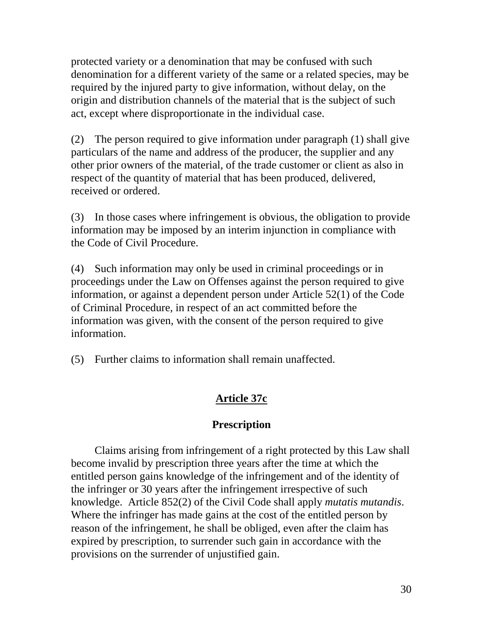protected variety or a denomination that may be confused with such denomination for a different variety of the same or a related species, may be required by the injured party to give information, without delay, on the origin and distribution channels of the material that is the subject of such act, except where disproportionate in the individual case.

(2) The person required to give information under paragraph  $(1)$  shall give particulars of the name and address of the producer, the supplier and any other prior owners of the material, of the tradecustomer or client as also in respect of the quantity of material that has been produced, delivered, received or ordered.

(3) Inthose cases where infringement is obvious, the obligation to provide information may be imposed by an interiminiunction in compliance with the Code of Civil Procedure.

(4) Such information may only be used incriminal proceeding sor in proceeding sunder the Law on Offenses against the person required to give information, or against a dependent person under Article  $52(1)$  of the Code of Criminal Procedure, in respect of an act committed before the information was given, with the consent of the person required to give information.

 $(5)$  Furtherclaimstoi nformation shall remain unaffected.

## **Article 37c**

### **Prescription**

Claims arising from infringement of a right protected by this Lawshall become invalid by prescription three years after the time at which the entitled persongains knowledge of the infringe ment and of the identity of the infringer or 30 years after the infringement irrespective of such knowledge. Article 852(2) of the Civil Codes hall apply *mutatis mutandis*. Where the infringer has madegains at the cost of the entitled person by reason of the infringement, he shall be obliged, even after the claim has expired by prescription, to surrender such gain in accordance with the provisions on the surrender of unjustified gain.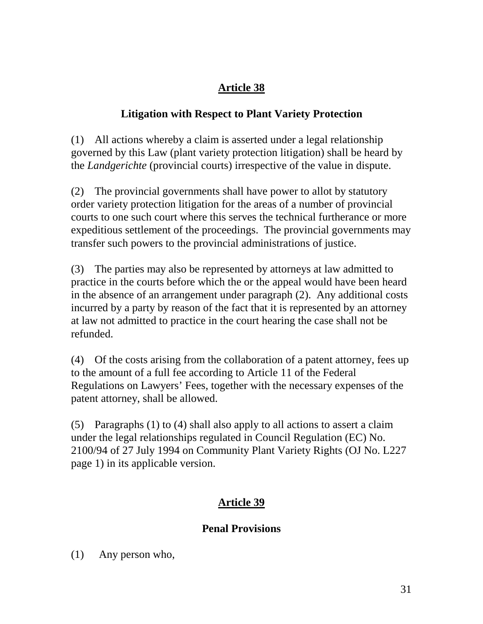# **Litigation with Respect to Plant Variety Protection**

(1) All actions where by a claim is asserted under a legal relationship governed by this Law (plant variety protection litigation) shall be heard by the *Landgerichte* (provincial courts) irrespective of the value indispute.

(2) The provincial governments shall have power to allot by statutory order variety protection litigation for the areas of a number of provincial courts to one such court where this serves the technical furtherance or more expeditious settlement of the proceedings. The provincial government smay transfer such powers to the provincial administrations of justice.

(3) The parties may also be represented by attorneys at law admitted to practice in the courts before which the orther appeal would have been heard in the absence of an arrangement u nder paragraph (2). Any additional costs incurred by a party by reason of the fact that it is represented by an attorney at law not admitted to practice in the court hearing the cases hall not be refunded.

(4) Of the costs arising from the collaboration of a patent attorney, fees up to the amount of a full fee according to Article 11 of the Federal Regulations on Lawyers' Fees, to gether with the necessary expenses of the patent attorney, shall be allowed.

 $(5)$  Paragraphs $(1)$ to $(4)$ shallalso applyto all a ctions to assert a claim under the legal relationships reg ulated in Council Regulation (EC) No. 2100/94 of 27 July 1994 on Community Plant Variety Rights (OJNo. L227 page 1) in its applicable version.

# **Article 39**

# **Penal Provisions**

(1) Any person who,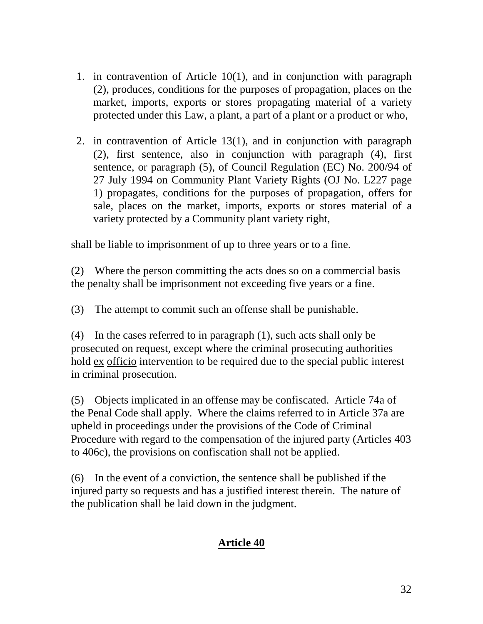- 1. in contravention of Article 10(1), and in conjunction with paragraph (2), produces, conditions for the purposes of propagation, places on the market, i mports, exports or stores propagating material of a variety protected under this Law, a plant, a pa rt of a plant or a protected under this Law, a plant, a part of a plant or a protected under the set of a protected under the set of a protected under the set of a protected under th
- 2. in contravention of Article 13(1), and in conjunction with paragraph (2), first sentence, also in conjunction with paragraph (4), first sentence, or par agraph (5), of Council Regulation (EC) No. 200/94 of 27 July 19 94 on Community Plant Variety Rights (OJ No. L227 page 1) propagates, conditions for the purposes of propagation, offers for sale, places on the market, i mports, exports or stores material of a variety protected by a Community plant variety right,

shall b eliable to imprisonment of up to three years orto a fine.

(2) Where the person committing the acts does soon a commercial basis the penalty shall be imprisonment not exceeding five years or a fine.

(3) The attempt to commit such an offenses hall be pu is habile.

 $(4)$  In the cases referred to in paragraph  $(1)$ , such acts shall only be prosecuted on request, except where the criminal prosecuting authorities hold ex officio intervention to be required due to the special public interest incriminal prosecution.

(5) Objects implicated in an offense may be confiscated. Article 74a of the Penal Codeshall apply. Where the claims referred to in Article 37a are upheld in proceedings under the provisions of the Code of Criminal Procedure with regard to the compen sation of the injured party (Articles 403 to 406c), the provisions on confiscation shall not be applied.

 $(6)$  In the event of a conviction, the sentence shall be published if the injured party so requests and has a justified interest therein. The nature o f the publication shall be laiddown in the judgment.

## **Article 40**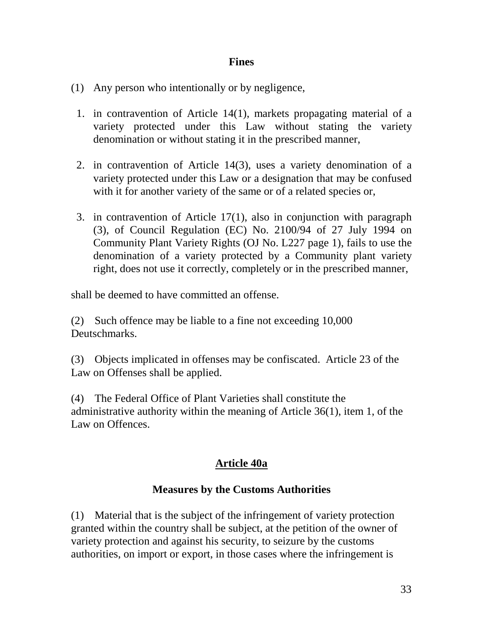#### **Fines**

- (1) Any person who intentionally or by ne gligence,
- 1. in contravention of Article 14(1), markets propagating material of a variety protected under this Law without stating the va riety denomination or without stating it in the pr escribed manner,
- 2. in contravention of Article 14(3), uses a variety denomination of a variety protected under this Law or a designation that may be confused with it for another v ariety of the same or o fare lated species or,
- 3. in contravention of Article 17(1), also in conjunction with paragraph (3), of Council Regulation (EC) No. 2100/94 of 27 July 1994 on Community Plant Variety Rights (OJ No. L227 page 1), fails to use the denomination of a varie ty protected by a Community plant variety right, does not use it correctly, completely or in the pr escribed manner,

shall be deemed to have committed and ffense.

(2) Such offence may be liable to a fine not exceeding  $10,000$ Deutschmarks.

(3) Objects imp licated in offenses may be confiscated. Article 23 of the Law on Offenses shall be applied.

(4) The Federal Office of Plant Varieties shall constitute the administrative authority within the meaning of Article  $36(1)$ , item 1, of the LawonOffences.

## **Article 40a**

## **Measures by the Customs Authorities**

(1) Material that is the subject of the infringement of variety protection granted with in the country shall be subject, at the petition of the owner of variety protection and against his security, to seizure b y the customs authorities, on import or export, in those cases where the infringement is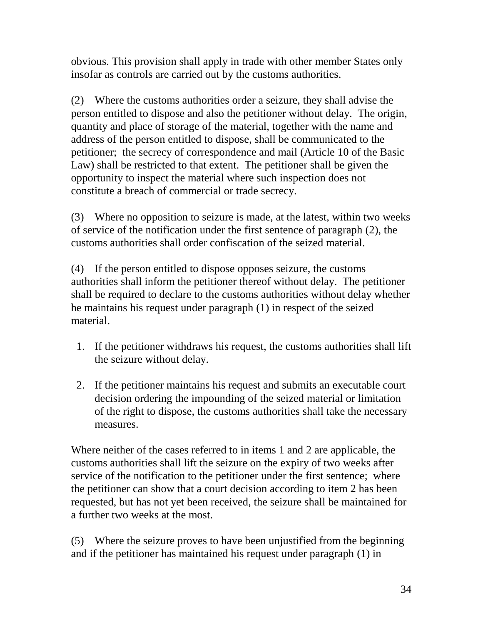obvious. This provisions hall apply intrade with other member States only insofar as controls are carried out by the customs authorities.

(2) Where the customs autho rities order a seizure, they shall advise the person entitled to dispose and also the petitioner without delay. The origin, quantity and place of storage of the material, to gether with the name and address of the person entitled to dispose, shall be commu nicated to the petitioner; the secrecy of correspondence and mail (Article 10 of the Basic Law) shall be restricted to that extent. The petitioner shall be given the opportunity to inspect the material where such inspection does not constitute a breach o f commercial ortradesecrecy.

(3) Where no opposition to seizure is made, at the latest, within two weeks of service of the notification under the first sentence of paragraph (2), the customs authorities shall order confiscation of the seized material.

(4) If the person entitled to dispose opposes seizure, the customs authorities shall inform the petition erthere of without delay. The petition er shall be required to declare to the customs authorities without delay whether he maintains his request under p aragraph (1) in respect of the seized material.

- 1. If the petitioner withdraws his request, the customs authorities shall lift the seizure without delay.
- 2. If the petition ermaintains his request and submits an executable court decision ordering the impounding of these ized material or limitation of the right to dispose, the customs authorities shall take the necessary measures.

Where neither of the cases referred to initems 1 and 2 are applicable, the customs authorities shall lift the seizure on the expiry of two weeks after service of the notification to the petitioner under the first sentence; where the petitioner can show that a court decision according to item 2 has been requested, but has not yet been received, the seizure shall be maintaine d for a further two weeks at the most.

(5) Where the seizure proves to have been unjustified from the beginning and if the petition erhas maintained his request under paragraph (1) in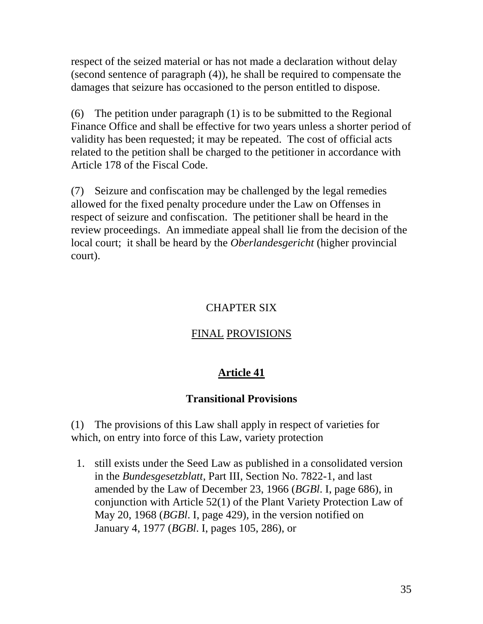respect of the seized material or has not made a declaration without de lay  $(secondsentence of paragraph (4)), heshall be required to compensate the$ damages that seizure has occasioned to the person entitled to dispose.

 $(6)$  The petition under paragraph  $(1)$  is to be submitted to the Regional Finance Office and shall be effec tive for two years unless as horter period of validity has been requested; it may be repeated. The cost of official acts related to the petitionshall be charged to the petitioner in accordance with Article 178 of the Fiscal Code.

(7) Seizure and confiscation may be challenged by the legal remedies allowed for the fixed penalty procedure under the Law on Offenses in respect of seizure and confiscation. The petitionershall be heard in the review proceedings. An immediate appeals hall lie from the decisi on of the local court; it shall be heard by the *Oberlandes gericht* (higher provincial court).

#### **CHAPTERSIX**

#### FINAL PROVISIONS

#### **Article 41**

#### **Transitional Provisions**

(1) The provisions of this Lawshall apply in respect of varieties for which, on entry int of orce of this Law, variety protection

1. still exists under the Seed Law as published in a consolidated version in the *Bundesgesetzblatt*, Part III, Section No. 7822-1, and last amended by the Law of December 23, 1966 (*BGBl. I, page 686)*, in conjunction with Article 52(1) of the Plant Variety Protection Law of May 20,1968( *BGBl. I, page 429*), in the version notified on January 4, 1977 ( *BGBl*. I, pages 105, 286), or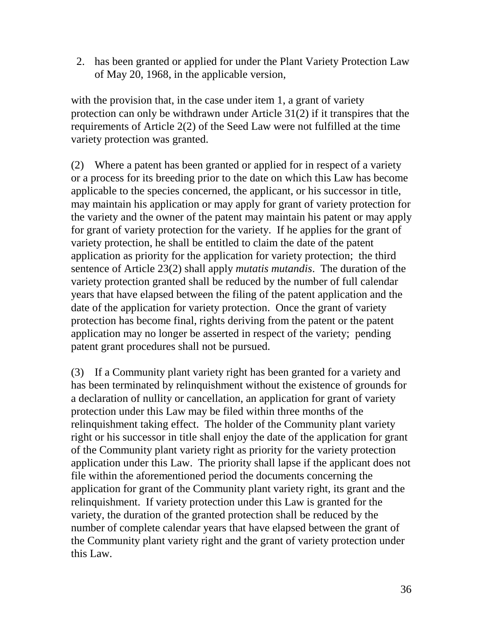2. has been granted or applied for under the Plant Variety Protection Law of May 20,1 968, in the applicable version,

with the provision that, in the case under item 1, a grant of variety protection can only be withdrawn under Article  $31(2)$  if it transpires that the requirements of Article 2(2) of the Seed Law were not fulfilled at the time e variety protection was granted.

(2) Where a patent has been granted or applied for inrespect of a variety or a process for its breeding prior to the date on which this Law has become applicable to the species concerned, the applicant, or his successor in title, may maintain his application or may apply for grant of variety protection for the variety and the owner of the patent may maintain his patent or may apply for grant of variety protection for the variety. If he applies for the grant of variety pr otection, he shall be entitled to claim the date of the patent application as priority for the application for variety protection; the third sentence of Article 23(2) shall apply *mutatis mutandis* . The duration of the variety protection granted shall be r educed by the number of full calendar years that have elapsed between the filing of the patent application and the date of the application for variety protection. Once the grant of variety protection has become final, rights deriving from the patent or the epatent application may no longer be asserted in respect of the variety; pending patent grant procedures shall not be pursued.

(3) If a Community plant variety right has been granted for a variety and has been terminated by religion nquishment without the existence of grounds for a decl aration of nullity or cancellation, an application for grant of variety protection under this Law may be filed within three months of the relinquishment taking effect. The holder of the Community plant variety right or his su ccessor in titleshall enjoy the date of the application for grant of the Community plant variety right as priority for the variety protection application under this Law. The priority shall lapse if the applicant does not file within the aforemention edper iod the documents concerning the application for grant of the Community plant variety right, its grant and the relinquishment. If variety prote ction under this Law is granted for the variety, the dur ation of the granted protectionshall be reduced by the number of complete calendary ears that have elapsed between the grant of the Community plant variety right and the grant of variety protection under this Law.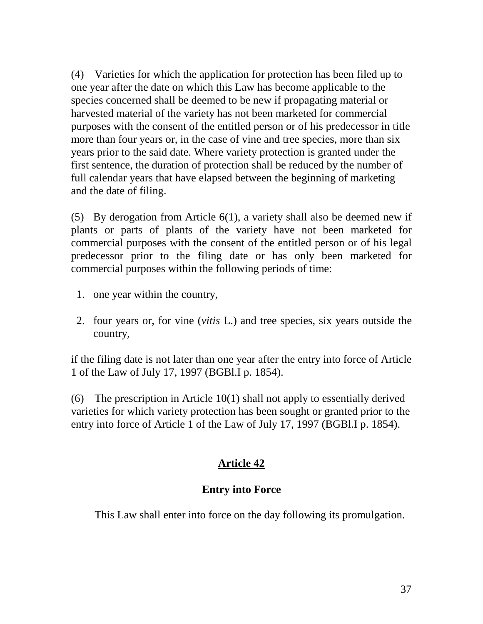(4) Varieties for which the application for protection has been filed up to one year after the d ate on which this Law has become applicable to the species concerned shall be deemed to be new if propagating material or harvested material of the variety has not been marketed for commercial purposes with the consent of the entitled person or of his pred ecessor in title more than four years or, in the case of vine and trees pecies, more than six years prior to the said date. Where variety protection is granted under the first sentence, the duration of protections hall be reduced by the number of full cale ndary ears that have elapsed between the beginning of marketing and the date of filing.

(5) By derogation from Article 6(1), a variety shall also be deemed new if plants or parts of plants of the variety have not been marketed for commercial pu rposes with the consent of the entitled person or of his legal predecessor prior to the filing date or has only been marketed for commercial purposes within the following per iods of time:

- 1. one year within the country,
- 2. four years or, for vine (*vitis* L.) and treesp ecies, six years outside the country,

if the filing date is not later than one year after the entry into force of Article 1 of the Law of July 17, 1997 (BGBl.Ip. 1854).

 $(6)$  The prescription in Article  $10(1)$  shall not apply to essentially derived varieties for which variety protection has been sought or granted prior to the entry into force of Article 1 of the Law of July 17, 1997 (BGBl.Ip. 1854).

## **Article 42**

### **Entryinto Force**

This Law shall enter into force on the day following its promulgati on.